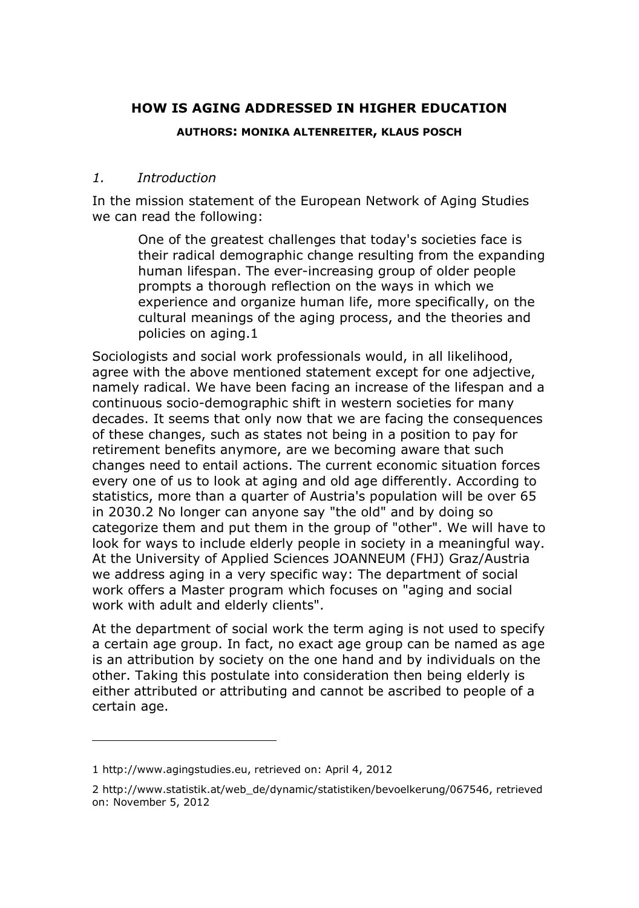# **HOW IS AGING ADDRESSED IN HIGHER EDUCATION**

#### **AUTHORS: MONIKA ALTENREITER, KLAUS POSCH**

#### *1. Introduction*

In the mission statement of the European Network of Aging Studies we can read the following:

> One of the greatest challenges that today's societies face is their radical demographic change resulting from the expanding human lifespan. The ever-increasing group of older people prompts a thorough reflection on the ways in which we experience and organize human life, more specifically, on the cultural meanings of the aging process, and the theories and policies on aging.1

Sociologists and social work professionals would, in all likelihood, agree with the above mentioned statement except for one adjective, namely radical. We have been facing an increase of the lifespan and a continuous socio-demographic shift in western societies for many decades. It seems that only now that we are facing the consequences of these changes, such as states not being in a position to pay for retirement benefits anymore, are we becoming aware that such changes need to entail actions. The current economic situation forces every one of us to look at aging and old age differently. According to statistics, more than a quarter of Austria's population will be over 65 in 2030.2 No longer can anyone say "the old" and by doing so categorize them and put them in the group of "other". We will have to look for ways to include elderly people in society in a meaningful way. At the University of Applied Sciences JOANNEUM (FHJ) Graz/Austria we address aging in a very specific way: The department of social work offers a Master program which focuses on "aging and social work with adult and elderly clients".

At the department of social work the term aging is not used to specify a certain age group. In fact, no exact age group can be named as age is an attribution by society on the one hand and by individuals on the other. Taking this postulate into consideration then being elderly is either attributed or attributing and cannot be ascribed to people of a certain age.

l

<sup>1</sup> http://www.agingstudies.eu, retrieved on: April 4, 2012

<sup>2</sup> http://www.statistik.at/web\_de/dynamic/statistiken/bevoelkerung/067546, retrieved on: November 5, 2012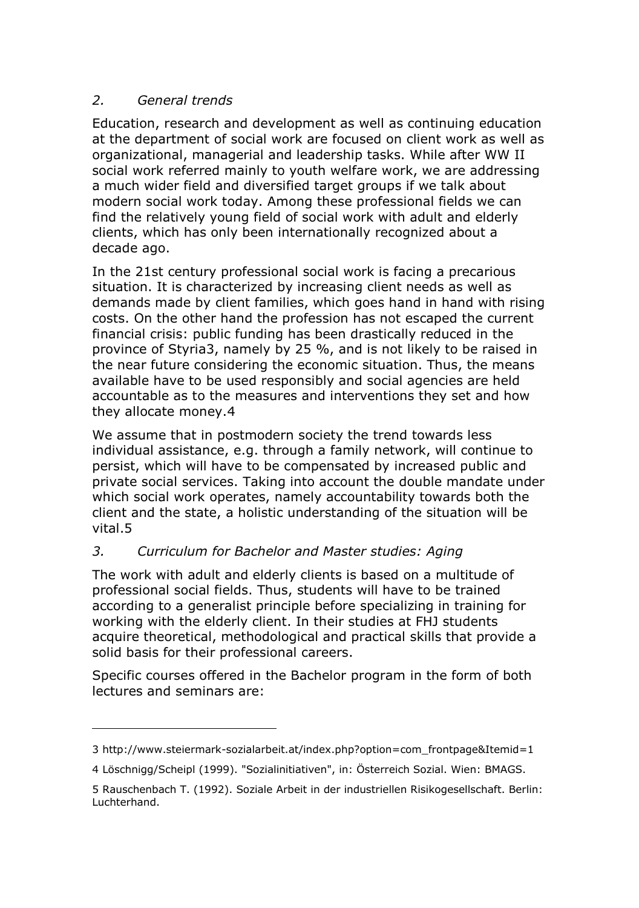## *2. General trends*

l

Education, research and development as well as continuing education at the department of social work are focused on client work as well as organizational, managerial and leadership tasks. While after WW II social work referred mainly to youth welfare work, we are addressing a much wider field and diversified target groups if we talk about modern social work today. Among these professional fields we can find the relatively young field of social work with adult and elderly clients, which has only been internationally recognized about a decade ago.

In the 21st century professional social work is facing a precarious situation. It is characterized by increasing client needs as well as demands made by client families, which goes hand in hand with rising costs. On the other hand the profession has not escaped the current financial crisis: public funding has been drastically reduced in the province of Styria3, namely by 25 %, and is not likely to be raised in the near future considering the economic situation. Thus, the means available have to be used responsibly and social agencies are held accountable as to the measures and interventions they set and how they allocate money.4

We assume that in postmodern society the trend towards less individual assistance, e.g. through a family network, will continue to persist, which will have to be compensated by increased public and private social services. Taking into account the double mandate under which social work operates, namely accountability towards both the client and the state, a holistic understanding of the situation will be vital.5

### *3. Curriculum for Bachelor and Master studies: Aging*

The work with adult and elderly clients is based on a multitude of professional social fields. Thus, students will have to be trained according to a generalist principle before specializing in training for working with the elderly client. In their studies at FHJ students acquire theoretical, methodological and practical skills that provide a solid basis for their professional careers.

Specific courses offered in the Bachelor program in the form of both lectures and seminars are:

<sup>3</sup> http://www.steiermark-sozialarbeit.at/index.php?option=com\_frontpage&Itemid=1

<sup>4</sup> Löschnigg/Scheipl (1999). "Sozialinitiativen", in: Österreich Sozial. Wien: BMAGS.

<sup>5</sup> Rauschenbach T. (1992). Soziale Arbeit in der industriellen Risikogesellschaft. Berlin: Luchterhand.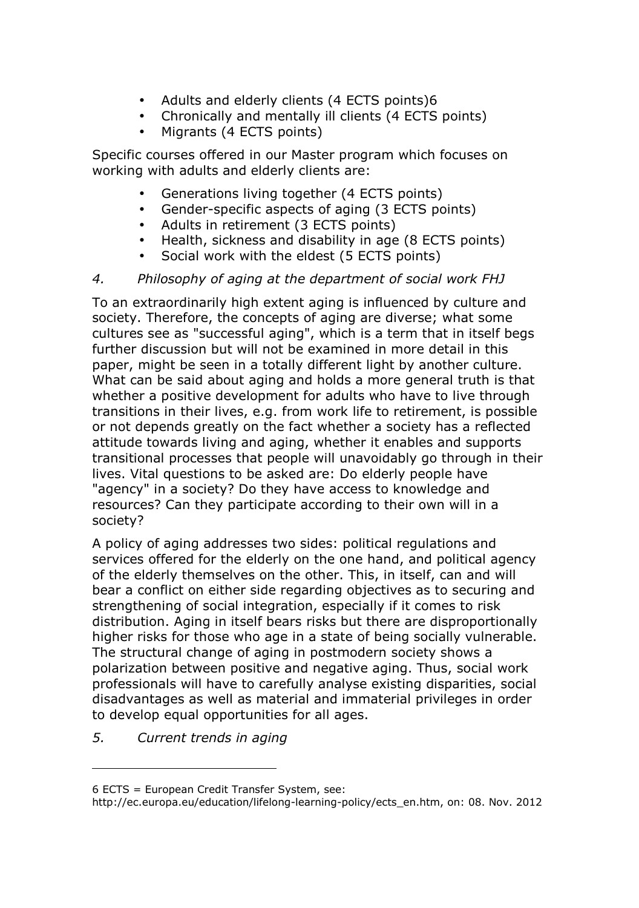- Adults and elderly clients (4 ECTS points)6
- Chronically and mentally ill clients (4 ECTS points)
- Migrants (4 ECTS points)

Specific courses offered in our Master program which focuses on working with adults and elderly clients are:

- Generations living together (4 ECTS points)
- Gender-specific aspects of aging (3 ECTS points)
- Adults in retirement (3 ECTS points)
- Health, sickness and disability in age (8 ECTS points)
- Social work with the eldest (5 ECTS points)

### *4. Philosophy of aging at the department of social work FHJ*

To an extraordinarily high extent aging is influenced by culture and society. Therefore, the concepts of aging are diverse; what some cultures see as "successful aging", which is a term that in itself begs further discussion but will not be examined in more detail in this paper, might be seen in a totally different light by another culture. What can be said about aging and holds a more general truth is that whether a positive development for adults who have to live through transitions in their lives, e.g. from work life to retirement, is possible or not depends greatly on the fact whether a society has a reflected attitude towards living and aging, whether it enables and supports transitional processes that people will unavoidably go through in their lives. Vital questions to be asked are: Do elderly people have "agency" in a society? Do they have access to knowledge and resources? Can they participate according to their own will in a society?

A policy of aging addresses two sides: political regulations and services offered for the elderly on the one hand, and political agency of the elderly themselves on the other. This, in itself, can and will bear a conflict on either side regarding objectives as to securing and strengthening of social integration, especially if it comes to risk distribution. Aging in itself bears risks but there are disproportionally higher risks for those who age in a state of being socially vulnerable. The structural change of aging in postmodern society shows a polarization between positive and negative aging. Thus, social work professionals will have to carefully analyse existing disparities, social disadvantages as well as material and immaterial privileges in order to develop equal opportunities for all ages.

*5. Current trends in aging* 

l

<sup>6</sup> ECTS = European Credit Transfer System, see:

http://ec.europa.eu/education/lifelong-learning-policy/ects\_en.htm, on: 08. Nov. 2012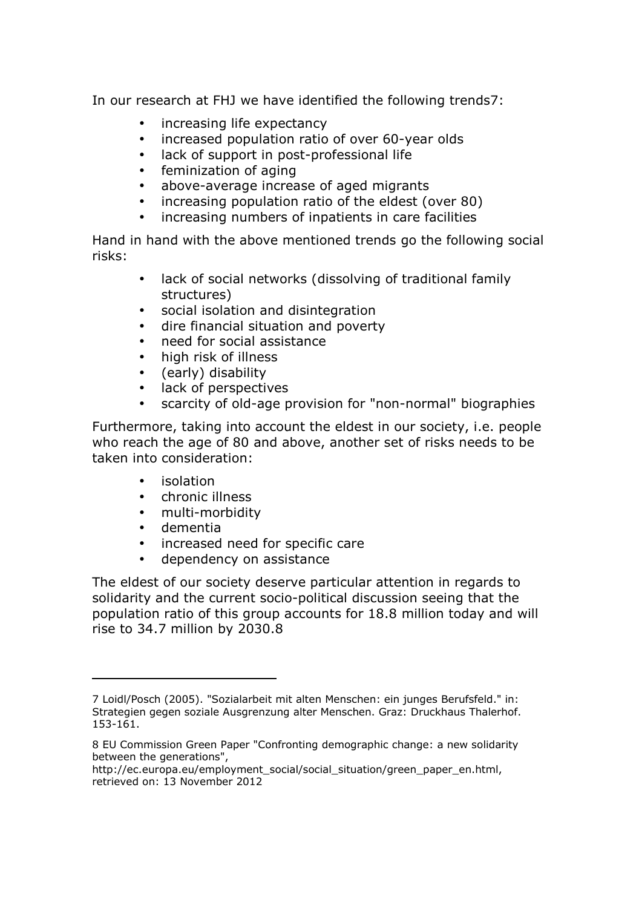In our research at FHJ we have identified the following trends7:

- increasing life expectancy
- increased population ratio of over 60-year olds
- lack of support in post-professional life
- feminization of aging
- above-average increase of aged migrants
- increasing population ratio of the eldest (over 80)
- increasing numbers of inpatients in care facilities

Hand in hand with the above mentioned trends go the following social risks:

- lack of social networks (dissolving of traditional family structures)
- social isolation and disintegration
- dire financial situation and poverty
- need for social assistance
- high risk of illness
- (early) disability
- lack of perspectives
- scarcity of old-age provision for "non-normal" biographies

Furthermore, taking into account the eldest in our society, i.e. people who reach the age of 80 and above, another set of risks needs to be taken into consideration:

- isolation
- chronic illness
- multi-morbidity
- dementia

i,

- increased need for specific care
- dependency on assistance

The eldest of our society deserve particular attention in regards to solidarity and the current socio-political discussion seeing that the population ratio of this group accounts for 18.8 million today and will rise to 34.7 million by 2030.8

<sup>7</sup> Loidl/Posch (2005). "Sozialarbeit mit alten Menschen: ein junges Berufsfeld." in: Strategien gegen soziale Ausgrenzung alter Menschen. Graz: Druckhaus Thalerhof. 153-161.

<sup>8</sup> EU Commission Green Paper "Confronting demographic change: a new solidarity between the generations",

http://ec.europa.eu/employment\_social/social\_situation/green\_paper\_en.html, retrieved on: 13 November 2012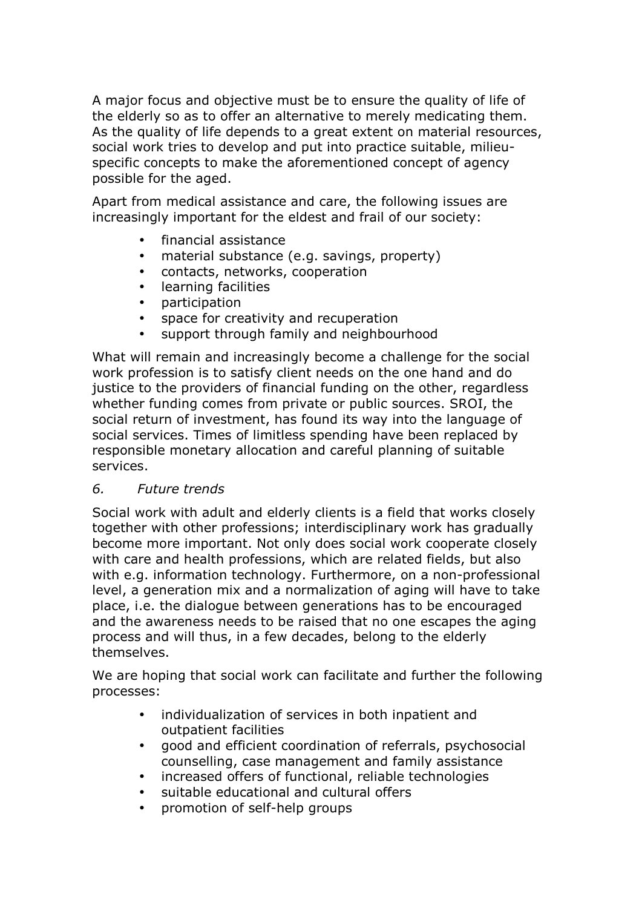A major focus and objective must be to ensure the quality of life of the elderly so as to offer an alternative to merely medicating them. As the quality of life depends to a great extent on material resources, social work tries to develop and put into practice suitable, milieuspecific concepts to make the aforementioned concept of agency possible for the aged.

Apart from medical assistance and care, the following issues are increasingly important for the eldest and frail of our society:

- financial assistance
- material substance (e.g. savings, property)
- contacts, networks, cooperation
- learning facilities
- participation
- space for creativity and recuperation
- support through family and neighbourhood

What will remain and increasingly become a challenge for the social work profession is to satisfy client needs on the one hand and do justice to the providers of financial funding on the other, regardless whether funding comes from private or public sources. SROI, the social return of investment, has found its way into the language of social services. Times of limitless spending have been replaced by responsible monetary allocation and careful planning of suitable services.

### *6. Future trends*

Social work with adult and elderly clients is a field that works closely together with other professions; interdisciplinary work has gradually become more important. Not only does social work cooperate closely with care and health professions, which are related fields, but also with e.g. information technology. Furthermore, on a non-professional level, a generation mix and a normalization of aging will have to take place, i.e. the dialogue between generations has to be encouraged and the awareness needs to be raised that no one escapes the aging process and will thus, in a few decades, belong to the elderly themselves.

We are hoping that social work can facilitate and further the following processes:

- individualization of services in both inpatient and outpatient facilities
- good and efficient coordination of referrals, psychosocial counselling, case management and family assistance
- increased offers of functional, reliable technologies
- suitable educational and cultural offers
- promotion of self-help groups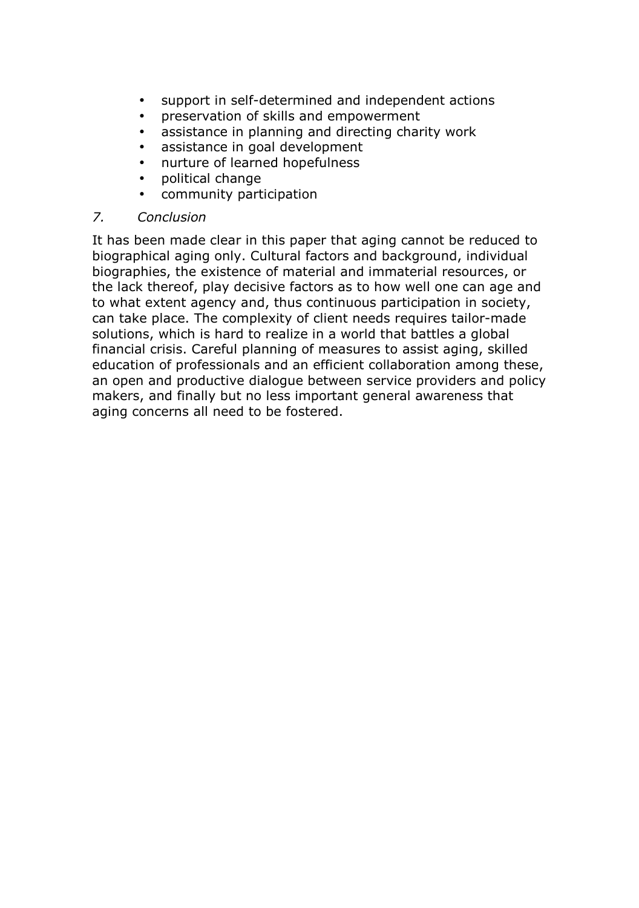- support in self-determined and independent actions
- preservation of skills and empowerment
- assistance in planning and directing charity work
- assistance in goal development
- nurture of learned hopefulness
- political change
- community participation

## *7. Conclusion*

It has been made clear in this paper that aging cannot be reduced to biographical aging only. Cultural factors and background, individual biographies, the existence of material and immaterial resources, or the lack thereof, play decisive factors as to how well one can age and to what extent agency and, thus continuous participation in society, can take place. The complexity of client needs requires tailor-made solutions, which is hard to realize in a world that battles a global financial crisis. Careful planning of measures to assist aging, skilled education of professionals and an efficient collaboration among these, an open and productive dialogue between service providers and policy makers, and finally but no less important general awareness that aging concerns all need to be fostered.